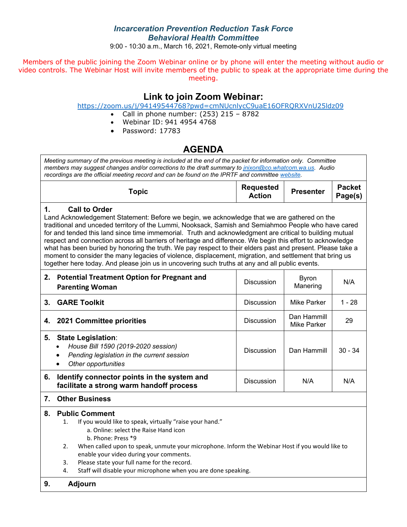## *Incarceration Prevention Reduction Task Force Behavioral Health Committee*

9:00 - 10:30 a.m., March 16, 2021, Remote-only virtual meeting

Members of the public joining the Zoom Webinar online or by phone will enter the meeting without audio or video controls. The Webinar Host will invite members of the public to speak at the appropriate time during the meeting.

# **Link to join Zoom Webinar:**

#### <https://zoom.us/j/94149544768?pwd=cmNUcnlycC9uaE16OFRQRXVnU25ldz09>

- Call in phone number:  $(253)$  215 8782
- Webinar ID: 941 4954 4768
- Password: 17783

# **AGENDA**

*Meeting summary of the previous meeting is included at the end of the packet for information only. Committee members may suggest changes and/or corrections to the draft summary to [jnixon@co.whatcom.wa.us.](mailto:jnixon@co.whatcom.wa.us) Audio recordings are the official meeting record and can be found on the IPRTF and committe[e website.](http://www.co.whatcom.wa.us/2052/Incarceration-Prevention-and-Reduction-T)*

| opic | <b>Requested</b><br><b>Action</b> | <b>Presenter</b> | <b>Packet</b><br>Page(s) |
|------|-----------------------------------|------------------|--------------------------|
|------|-----------------------------------|------------------|--------------------------|

### **1. Call to Order**

Land Acknowledgement Statement: Before we begin, we acknowledge that we are gathered on the traditional and unceded territory of the Lummi, Nooksack, Samish and Semiahmoo People who have cared for and tended this land since time immemorial. Truth and acknowledgment are critical to building mutual respect and connection across all barriers of heritage and difference. We begin this effort to acknowledge what has been buried by honoring the truth. We pay respect to their elders past and present. Please take a moment to consider the many legacies of violence, displacement, migration, and settlement that bring us together here today. And please join us in uncovering such truths at any and all public events.

|         | 2. Potential Treatment Option for Pregnant and<br><b>Parenting Woman</b>                                                                                        | <b>Discussion</b> | <b>Byron</b><br>Manering   | N/A       |
|---------|-----------------------------------------------------------------------------------------------------------------------------------------------------------------|-------------------|----------------------------|-----------|
| $3_{-}$ | <b>GARE Toolkit</b>                                                                                                                                             | <b>Discussion</b> | Mike Parker                | $1 - 28$  |
|         | 4. 2021 Committee priorities                                                                                                                                    | <b>Discussion</b> | Dan Hammill<br>Mike Parker | 29        |
| 5.      | <b>State Legislation:</b><br>House Bill 1590 (2019-2020 session)<br>$\bullet$<br>Pending legislation in the current session<br>Other opportunities<br>$\bullet$ | <b>Discussion</b> | Dan Hammill                | $30 - 34$ |
| 6.      | Identify connector points in the system and<br>facilitate a strong warm handoff process                                                                         | <b>Discussion</b> | N/A                        | N/A       |
|         |                                                                                                                                                                 |                   |                            |           |

## **7. Other Business**

#### **8. Public Comment**

- 1. If you would like to speak, virtually "raise your hand."
	- a. Online: select the Raise Hand icon
	- b. Phone: Press \*9
- 2. When called upon to speak, unmute your microphone. Inform the Webinar Host if you would like to enable your video during your comments.
- 3. Please state your full name for the record.
- 4. Staff will disable your microphone when you are done speaking.

### **9. Adjourn**